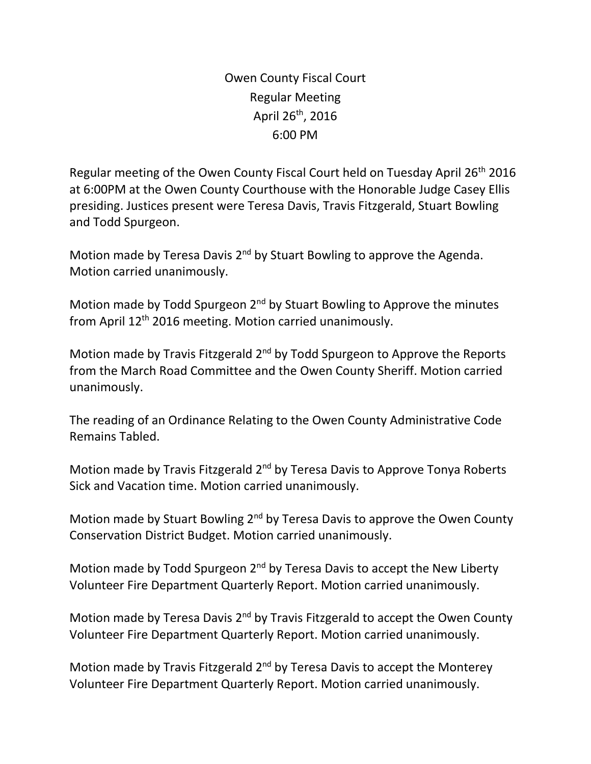Owen County Fiscal Court Regular Meeting April  $26<sup>th</sup>$ , 2016 6:00 PM

Regular meeting of the Owen County Fiscal Court held on Tuesday April 26th 2016 at 6:00PM at the Owen County Courthouse with the Honorable Judge Casey Ellis presiding. Justices present were Teresa Davis, Travis Fitzgerald, Stuart Bowling and Todd Spurgeon.

Motion made by Teresa Davis 2<sup>nd</sup> by Stuart Bowling to approve the Agenda. Motion carried unanimously.

Motion made by Todd Spurgeon 2<sup>nd</sup> by Stuart Bowling to Approve the minutes from April 12th 2016 meeting. Motion carried unanimously.

Motion made by Travis Fitzgerald 2<sup>nd</sup> by Todd Spurgeon to Approve the Reports from the March Road Committee and the Owen County Sheriff. Motion carried unanimously.

The reading of an Ordinance Relating to the Owen County Administrative Code Remains Tabled.

Motion made by Travis Fitzgerald 2<sup>nd</sup> by Teresa Davis to Approve Tonya Roberts Sick and Vacation time. Motion carried unanimously.

Motion made by Stuart Bowling 2<sup>nd</sup> by Teresa Davis to approve the Owen County Conservation District Budget. Motion carried unanimously.

Motion made by Todd Spurgeon 2<sup>nd</sup> by Teresa Davis to accept the New Liberty Volunteer Fire Department Quarterly Report. Motion carried unanimously.

Motion made by Teresa Davis 2<sup>nd</sup> by Travis Fitzgerald to accept the Owen County Volunteer Fire Department Quarterly Report. Motion carried unanimously.

Motion made by Travis Fitzgerald  $2<sup>nd</sup>$  by Teresa Davis to accept the Monterey Volunteer Fire Department Quarterly Report. Motion carried unanimously.